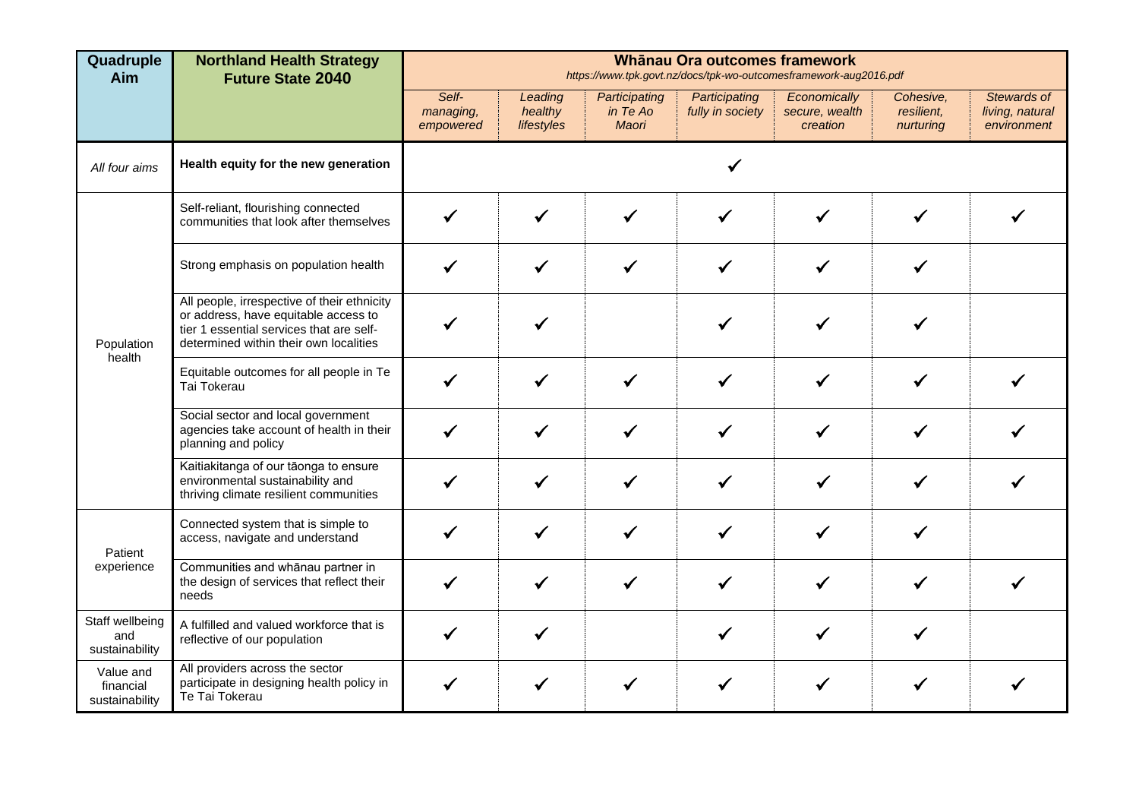| Quadruple<br>Aim                         | <b>Northland Health Strategy</b><br><b>Future State 2040</b>                                                                                                              |                                 | Whānau Ora outcomes framework<br>https://www.tpk.govt.nz/docs/tpk-wo-outcomesframework-aug2016.pdf |                                    |                                   |                                            |                                      |                                               |  |  |  |  |  |
|------------------------------------------|---------------------------------------------------------------------------------------------------------------------------------------------------------------------------|---------------------------------|----------------------------------------------------------------------------------------------------|------------------------------------|-----------------------------------|--------------------------------------------|--------------------------------------|-----------------------------------------------|--|--|--|--|--|
|                                          |                                                                                                                                                                           | Self-<br>managing,<br>empowered | Leading<br>healthy<br>lifestyles                                                                   | Participating<br>in Te Ao<br>Maori | Participating<br>fully in society | Economically<br>secure, wealth<br>creation | Cohesive.<br>resilient,<br>nurturing | Stewards of<br>living, natural<br>environment |  |  |  |  |  |
| All four aims                            | Health equity for the new generation                                                                                                                                      |                                 |                                                                                                    |                                    |                                   |                                            |                                      |                                               |  |  |  |  |  |
|                                          | Self-reliant, flourishing connected<br>communities that look after themselves                                                                                             |                                 | $\checkmark$                                                                                       | $\checkmark$                       | $\checkmark$                      | ✓                                          |                                      |                                               |  |  |  |  |  |
| Population<br>health                     | Strong emphasis on population health                                                                                                                                      | ✔                               | $\checkmark$                                                                                       |                                    |                                   | ✔                                          |                                      |                                               |  |  |  |  |  |
|                                          | All people, irrespective of their ethnicity<br>or address, have equitable access to<br>tier 1 essential services that are self-<br>determined within their own localities |                                 | ✔                                                                                                  |                                    |                                   | ✔                                          |                                      |                                               |  |  |  |  |  |
|                                          | Equitable outcomes for all people in Te<br>Tai Tokerau                                                                                                                    |                                 |                                                                                                    |                                    |                                   | $\checkmark$                               |                                      |                                               |  |  |  |  |  |
|                                          | Social sector and local government<br>agencies take account of health in their<br>planning and policy                                                                     |                                 | ✔                                                                                                  |                                    |                                   | ✔                                          |                                      |                                               |  |  |  |  |  |
|                                          | Kaitiakitanga of our tāonga to ensure<br>environmental sustainability and<br>thriving climate resilient communities                                                       |                                 | $\checkmark$                                                                                       |                                    | ✔                                 |                                            |                                      |                                               |  |  |  |  |  |
| Patient                                  | Connected system that is simple to<br>access, navigate and understand                                                                                                     | ✔                               | ✓                                                                                                  |                                    |                                   |                                            |                                      |                                               |  |  |  |  |  |
| experience                               | Communities and whānau partner in<br>the design of services that reflect their<br>needs                                                                                   |                                 | ✓                                                                                                  |                                    | ✓                                 |                                            |                                      |                                               |  |  |  |  |  |
| Staff wellbeing<br>and<br>sustainability | A fulfilled and valued workforce that is<br>reflective of our population                                                                                                  | $\checkmark$                    | $\checkmark$                                                                                       |                                    | ✓                                 | ✔                                          |                                      |                                               |  |  |  |  |  |
| Value and<br>financial<br>sustainability | All providers across the sector<br>participate in designing health policy in<br>Te Tai Tokerau                                                                            | ✓                               | ✔                                                                                                  |                                    |                                   |                                            |                                      |                                               |  |  |  |  |  |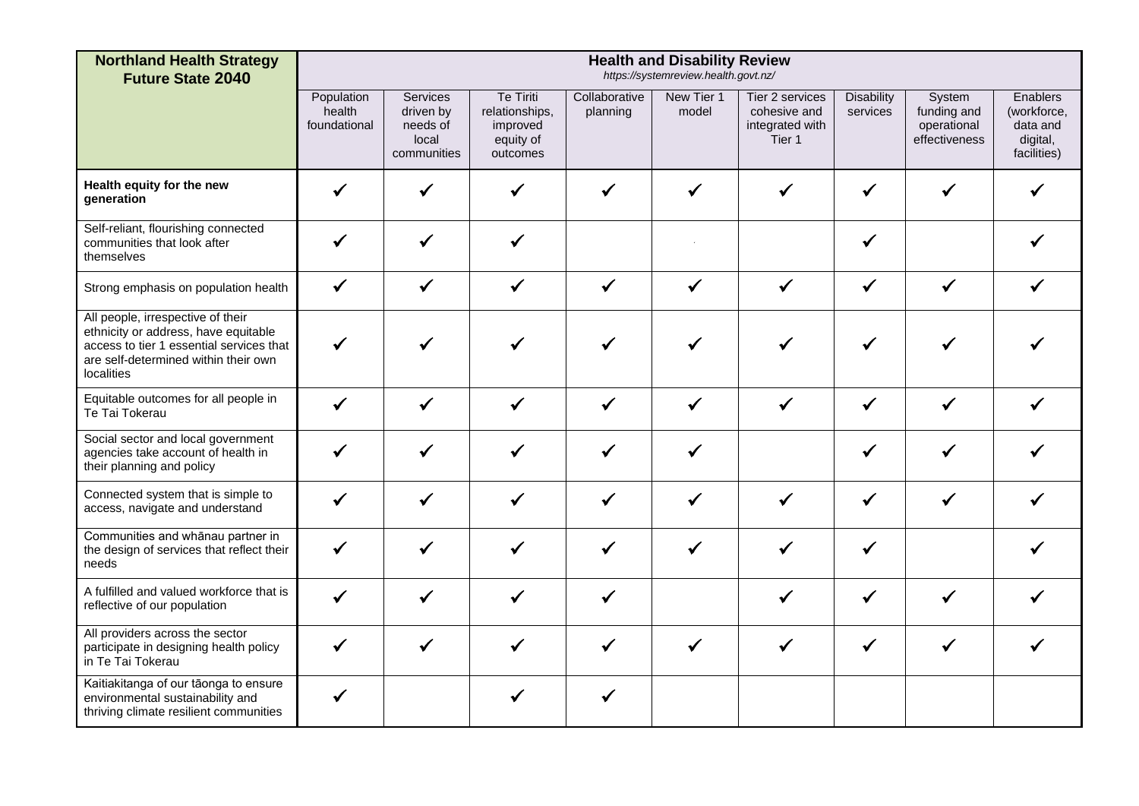| <b>Northland Health Strategy</b><br><b>Future State 2040</b>                                                                                                                |                                      | <b>Health and Disability Review</b><br>https://systemreview.health.govt.nz/ |                                                                         |                           |                     |                                                                         |                               |                                                       |                                                                |  |  |  |  |
|-----------------------------------------------------------------------------------------------------------------------------------------------------------------------------|--------------------------------------|-----------------------------------------------------------------------------|-------------------------------------------------------------------------|---------------------------|---------------------|-------------------------------------------------------------------------|-------------------------------|-------------------------------------------------------|----------------------------------------------------------------|--|--|--|--|
|                                                                                                                                                                             | Population<br>health<br>foundational | <b>Services</b><br>driven by<br>needs of<br>local<br>communities            | <b>Te Tiriti</b><br>relationships,<br>improved<br>equity of<br>outcomes | Collaborative<br>planning | New Tier 1<br>model | Tier 2 services<br>cohesive and<br>integrated with<br>Tier <sub>1</sub> | <b>Disability</b><br>services | System<br>funding and<br>operational<br>effectiveness | Enablers<br>(workforce,<br>data and<br>digital,<br>facilities) |  |  |  |  |
| Health equity for the new<br>qeneration                                                                                                                                     |                                      |                                                                             | ✔                                                                       |                           |                     | ✔                                                                       |                               |                                                       |                                                                |  |  |  |  |
| Self-reliant, flourishing connected<br>communities that look after<br>themselves                                                                                            | ✔                                    |                                                                             | ✔                                                                       |                           |                     |                                                                         |                               |                                                       |                                                                |  |  |  |  |
| Strong emphasis on population health                                                                                                                                        | $\checkmark$                         | $\checkmark$                                                                | $\checkmark$                                                            | $\checkmark$              | $\checkmark$        | $\checkmark$                                                            | $\checkmark$                  | $\checkmark$                                          |                                                                |  |  |  |  |
| All people, irrespective of their<br>ethnicity or address, have equitable<br>access to tier 1 essential services that<br>are self-determined within their own<br>localities | $\checkmark$                         |                                                                             | ✔                                                                       |                           |                     | ✔                                                                       | $\checkmark$                  |                                                       |                                                                |  |  |  |  |
| Equitable outcomes for all people in<br>Te Tai Tokerau                                                                                                                      | ✓                                    |                                                                             | ✔                                                                       | ✓                         |                     | $\checkmark$                                                            | ✔                             |                                                       |                                                                |  |  |  |  |
| Social sector and local government<br>agencies take account of health in<br>their planning and policy                                                                       | ✓                                    |                                                                             | ✓                                                                       | ✔                         |                     |                                                                         | $\checkmark$                  |                                                       |                                                                |  |  |  |  |
| Connected system that is simple to<br>access, navigate and understand                                                                                                       |                                      |                                                                             | ✓                                                                       | ✔                         |                     | ✓                                                                       | $\checkmark$                  | ✔                                                     |                                                                |  |  |  |  |
| Communities and whānau partner in<br>the design of services that reflect their<br>needs                                                                                     | $\checkmark$                         | $\checkmark$                                                                | $\checkmark$                                                            | $\checkmark$              | $\checkmark$        | $\checkmark$                                                            | $\checkmark$                  |                                                       |                                                                |  |  |  |  |
| A fulfilled and valued workforce that is<br>reflective of our population                                                                                                    | $\checkmark$                         | ✔                                                                           | $\checkmark$                                                            | ✓                         |                     | $\checkmark$                                                            | $\checkmark$                  | ✔                                                     |                                                                |  |  |  |  |
| All providers across the sector<br>participate in designing health policy<br>in Te Tai Tokerau                                                                              |                                      |                                                                             | ✔                                                                       |                           |                     | ✔                                                                       | ✔                             |                                                       |                                                                |  |  |  |  |
| Kaitiakitanga of our tāonga to ensure<br>environmental sustainability and<br>thriving climate resilient communities                                                         | $\checkmark$                         |                                                                             |                                                                         | ✔                         |                     |                                                                         |                               |                                                       |                                                                |  |  |  |  |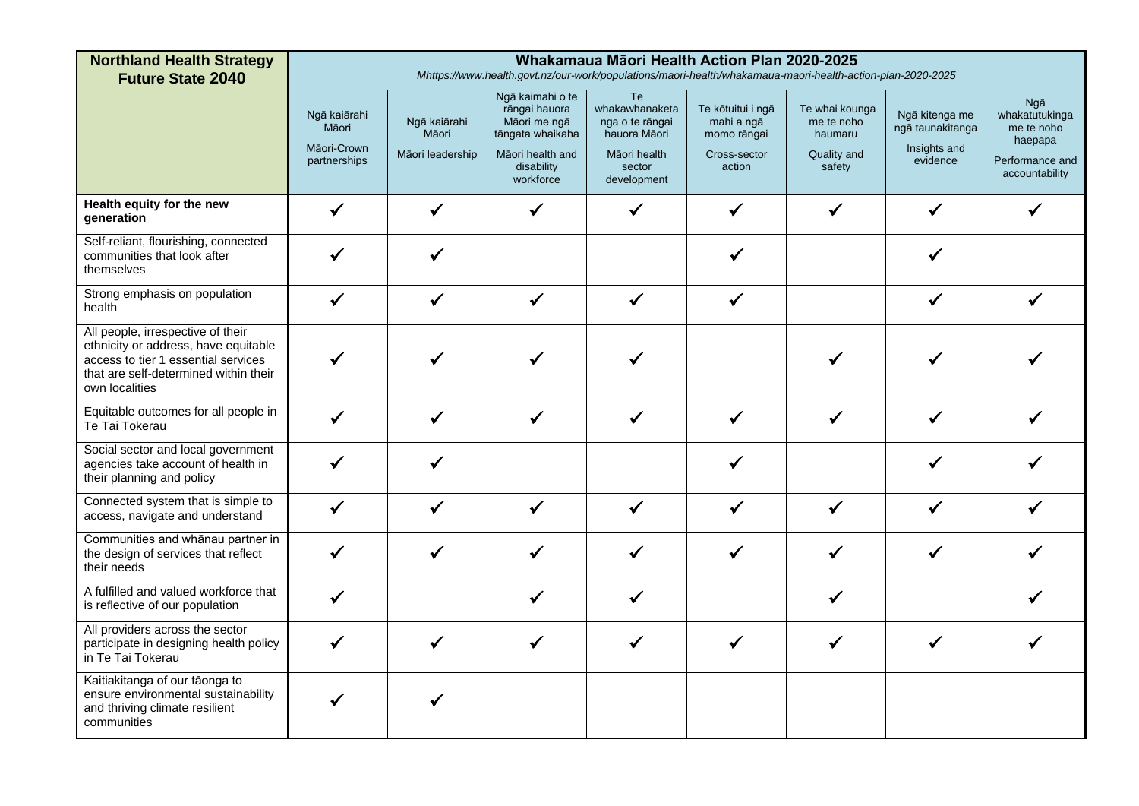| <b>Northland Health Strategy</b><br><b>Future State 2040</b>                                                                                                                | Whakamaua Māori Health Action Plan 2020-2025<br>Mhttps://www.health.govt.nz/our-work/populations/maori-health/whakamaua-maori-health-action-plan-2020-2025 |                                           |                                                                                                                      |                                                                                                  |                                                                          |                                                                  |                                                                |                                                                                            |  |  |  |
|-----------------------------------------------------------------------------------------------------------------------------------------------------------------------------|------------------------------------------------------------------------------------------------------------------------------------------------------------|-------------------------------------------|----------------------------------------------------------------------------------------------------------------------|--------------------------------------------------------------------------------------------------|--------------------------------------------------------------------------|------------------------------------------------------------------|----------------------------------------------------------------|--------------------------------------------------------------------------------------------|--|--|--|
|                                                                                                                                                                             | Ngā kaiārahi<br>Māori<br>Māori-Crown<br>partnerships                                                                                                       | Ngā kaiārahi<br>Māori<br>Māori leadership | Ngā kaimahi o te<br>rāngai hauora<br>Māori me ngā<br>tāngata whaikaha<br>Māori health and<br>disability<br>workforce | Te<br>whakawhanaketa<br>nga o te rāngai<br>hauora Māori<br>Māori health<br>sector<br>development | Te kōtuitui i ngā<br>mahi a ngā<br>momo rāngai<br>Cross-sector<br>action | Te whai kounga<br>me te noho<br>haumaru<br>Quality and<br>safety | Ngā kitenga me<br>ngā taunakitanga<br>Insights and<br>evidence | <b>Ngā</b><br>whakatutukinga<br>me te noho<br>haepapa<br>Performance and<br>accountability |  |  |  |
| Health equity for the new<br>generation                                                                                                                                     |                                                                                                                                                            | $\checkmark$                              |                                                                                                                      | ✔                                                                                                |                                                                          |                                                                  |                                                                |                                                                                            |  |  |  |
| Self-reliant, flourishing, connected<br>communities that look after<br>themselves                                                                                           |                                                                                                                                                            | ✔                                         |                                                                                                                      |                                                                                                  |                                                                          |                                                                  |                                                                |                                                                                            |  |  |  |
| Strong emphasis on population<br>health                                                                                                                                     |                                                                                                                                                            |                                           |                                                                                                                      |                                                                                                  |                                                                          |                                                                  | ✓                                                              |                                                                                            |  |  |  |
| All people, irrespective of their<br>ethnicity or address, have equitable<br>access to tier 1 essential services<br>that are self-determined within their<br>own localities |                                                                                                                                                            |                                           |                                                                                                                      |                                                                                                  |                                                                          |                                                                  |                                                                |                                                                                            |  |  |  |
| Equitable outcomes for all people in<br>Te Tai Tokerau                                                                                                                      | $\checkmark$                                                                                                                                               | $\checkmark$                              | $\checkmark$                                                                                                         | $\checkmark$                                                                                     | $\checkmark$                                                             | $\checkmark$                                                     | $\checkmark$                                                   |                                                                                            |  |  |  |
| Social sector and local government<br>agencies take account of health in<br>their planning and policy                                                                       |                                                                                                                                                            | ✓                                         |                                                                                                                      |                                                                                                  |                                                                          |                                                                  |                                                                |                                                                                            |  |  |  |
| Connected system that is simple to<br>access, navigate and understand                                                                                                       |                                                                                                                                                            | $\checkmark$                              | ✓                                                                                                                    | $\checkmark$                                                                                     |                                                                          | ✓                                                                | $\checkmark$                                                   |                                                                                            |  |  |  |
| Communities and whānau partner in<br>the design of services that reflect<br>their needs                                                                                     |                                                                                                                                                            | ✔                                         |                                                                                                                      | ✔                                                                                                |                                                                          |                                                                  |                                                                |                                                                                            |  |  |  |
| A fulfilled and valued workforce that<br>is reflective of our population                                                                                                    |                                                                                                                                                            |                                           |                                                                                                                      |                                                                                                  |                                                                          | ✔                                                                |                                                                |                                                                                            |  |  |  |
| All providers across the sector<br>participate in designing health policy<br>in Te Tai Tokerau                                                                              |                                                                                                                                                            |                                           |                                                                                                                      |                                                                                                  |                                                                          |                                                                  |                                                                |                                                                                            |  |  |  |
| Kaitiakitanga of our tāonga to<br>ensure environmental sustainability<br>and thriving climate resilient<br>communities                                                      |                                                                                                                                                            |                                           |                                                                                                                      |                                                                                                  |                                                                          |                                                                  |                                                                |                                                                                            |  |  |  |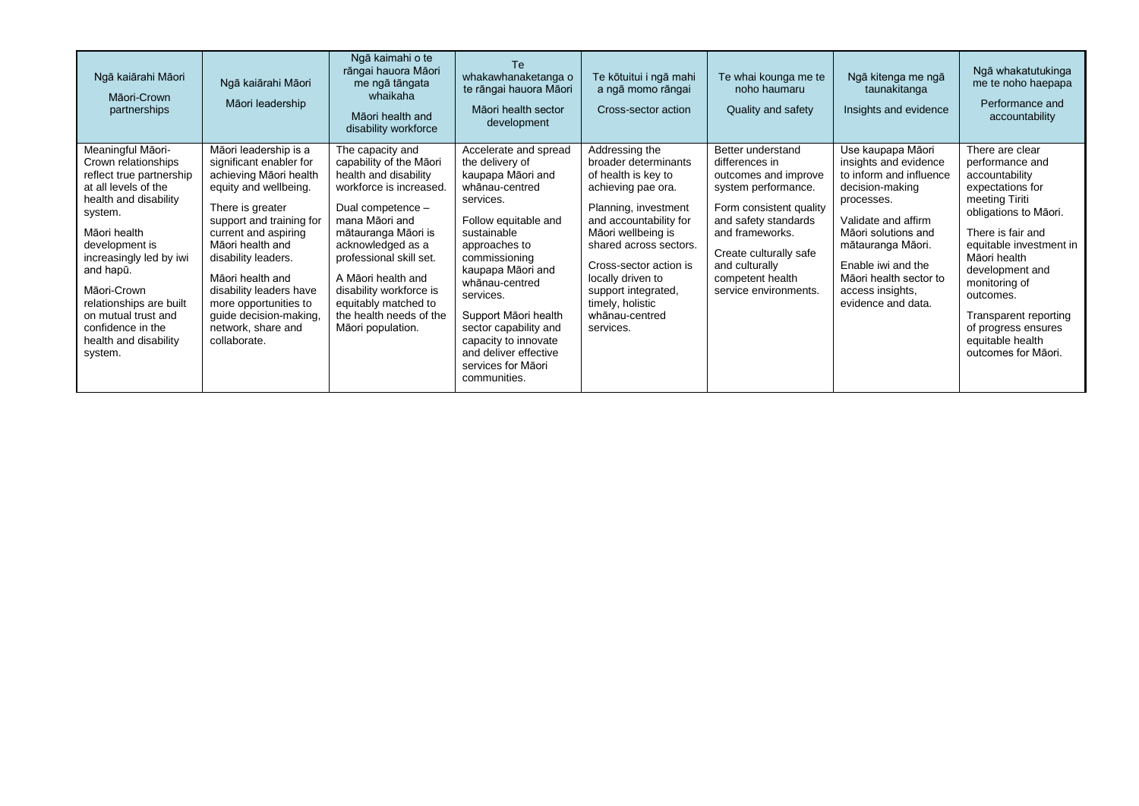| Ngā kaiārahi Māori<br>Māori-Crown<br>partnerships                                                                                                                                                                                                                                                                                    | Ngā kaiārahi Māori<br>Māori leadership                                                                                                                                                                                                                                                                                                                         | Ngā kaimahi o te<br>rāngai hauora Māori<br>me ngā tāngata<br>whaikaha<br>Māori health and<br>disability workforce                                                                                                                                                                                                                      | Te.<br>whakawhanaketanga o<br>te rāngai hauora Māori<br>Māori health sector<br>development                                                                                                                                                                                                                                                                        | Te kōtuitui i ngā mahi<br>a ngā momo rāngai<br>Cross-sector action                                                                                                                                                                                                                                             | Te whai kounga me te<br>noho haumaru<br>Quality and safety                                                                                                                                                                                        | Ngā kitenga me ngā<br>taunakitanga<br>Insights and evidence                                                                                                                                                                                                         | Ngā whakatutukinga<br>me te noho haepapa<br>Performance and<br>accountability                                                                                                                                                                                                                                                   |
|--------------------------------------------------------------------------------------------------------------------------------------------------------------------------------------------------------------------------------------------------------------------------------------------------------------------------------------|----------------------------------------------------------------------------------------------------------------------------------------------------------------------------------------------------------------------------------------------------------------------------------------------------------------------------------------------------------------|----------------------------------------------------------------------------------------------------------------------------------------------------------------------------------------------------------------------------------------------------------------------------------------------------------------------------------------|-------------------------------------------------------------------------------------------------------------------------------------------------------------------------------------------------------------------------------------------------------------------------------------------------------------------------------------------------------------------|----------------------------------------------------------------------------------------------------------------------------------------------------------------------------------------------------------------------------------------------------------------------------------------------------------------|---------------------------------------------------------------------------------------------------------------------------------------------------------------------------------------------------------------------------------------------------|---------------------------------------------------------------------------------------------------------------------------------------------------------------------------------------------------------------------------------------------------------------------|---------------------------------------------------------------------------------------------------------------------------------------------------------------------------------------------------------------------------------------------------------------------------------------------------------------------------------|
| Meaningful Māori-<br>Crown relationships<br>reflect true partnership<br>at all levels of the<br>health and disability<br>system.<br>Māori health<br>development is<br>increasingly led by iwi<br>and hapū.<br>Māori-Crown<br>relationships are built<br>on mutual trust and<br>confidence in the<br>health and disability<br>system. | Māori leadership is a<br>significant enabler for<br>achieving Māori health<br>equity and wellbeing.<br>There is greater<br>support and training for<br>current and aspiring<br>Māori health and<br>disability leaders.<br>Māori health and<br>disability leaders have<br>more opportunities to<br>guide decision-making,<br>network, share and<br>collaborate. | The capacity and<br>capability of the Māori<br>health and disability<br>workforce is increased.<br>Dual competence -<br>mana Māori and<br>mātauranga Māori is<br>acknowledged as a<br>professional skill set.<br>A Māori health and<br>disability workforce is<br>equitably matched to<br>the health needs of the<br>Māori population. | Accelerate and spread<br>the delivery of<br>kaupapa Māori and<br>whānau-centred<br>services.<br>Follow equitable and<br>sustainable<br>approaches to<br>commissioning<br>kaupapa Māori and<br>whānau-centred<br>services.<br>Support Māori health<br>sector capability and<br>capacity to innovate<br>and deliver effective<br>services for Māori<br>communities. | Addressing the<br>broader determinants<br>of health is key to<br>achieving pae ora.<br>Planning, investment<br>and accountability for<br>Māori wellbeing is<br>shared across sectors.<br>Cross-sector action is<br>locally driven to<br>support integrated,<br>timely, holistic<br>whānau-centred<br>services. | Better understand<br>differences in<br>outcomes and improve<br>system performance.<br>Form consistent quality<br>and safety standards<br>and frameworks.<br>Create culturally safe<br>and culturally<br>competent health<br>service environments. | Use kaupapa Māori<br>insights and evidence<br>to inform and influence<br>decision-making<br>processes.<br>Validate and affirm<br>Māori solutions and<br>mātauranga Māori.<br>Enable iwi and the<br>Māori health sector to<br>access insights,<br>evidence and data. | There are clear<br>performance and<br>accountability<br>expectations for<br>meeting Tiriti<br>obligations to Māori.<br>There is fair and<br>equitable investment in<br>Māori health<br>development and<br>monitoring of<br>outcomes.<br>Transparent reporting<br>of progress ensures<br>equitable health<br>outcomes for Māori. |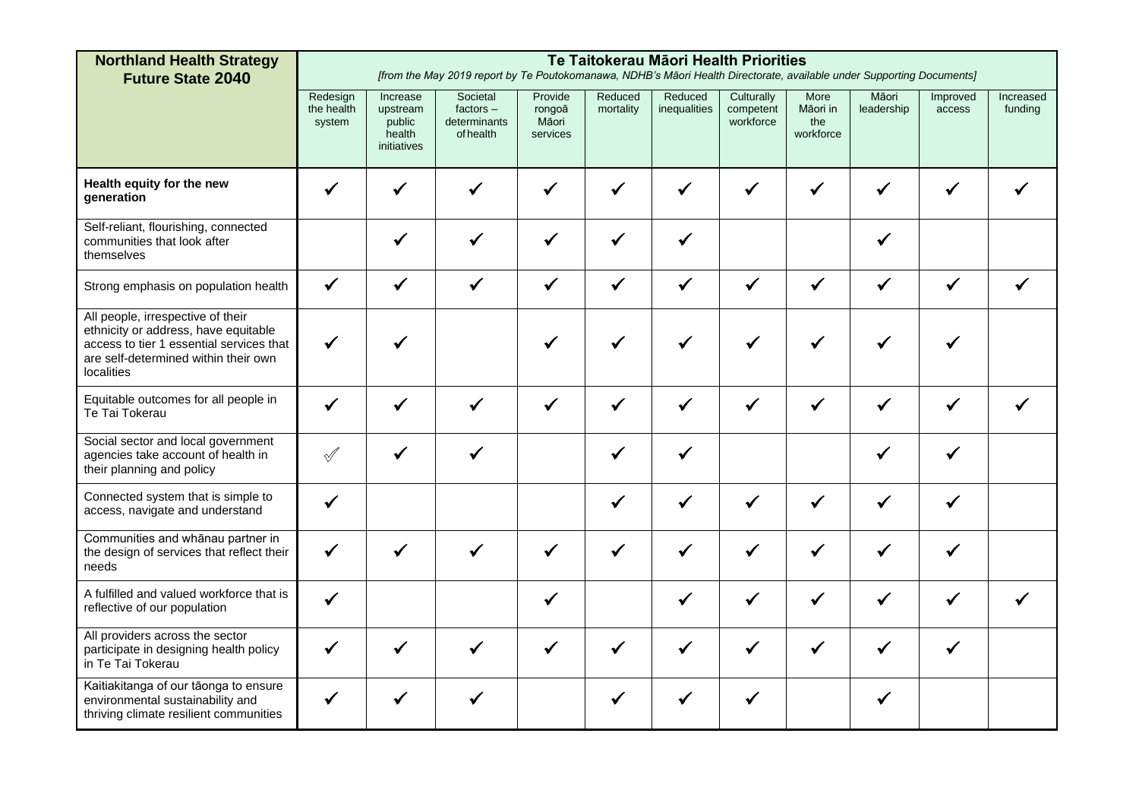| <b>Northland Health Strategy</b><br><b>Future State 2040</b>                                                                                                                | Te Taitokerau Māori Health Priorities<br>[from the May 2019 report by Te Poutokomanawa, NDHB's Māori Health Directorate, available under Supporting Documents] |                                                         |                                                      |                                        |                      |                         |                                      |                                      |                     |                    |                      |
|-----------------------------------------------------------------------------------------------------------------------------------------------------------------------------|----------------------------------------------------------------------------------------------------------------------------------------------------------------|---------------------------------------------------------|------------------------------------------------------|----------------------------------------|----------------------|-------------------------|--------------------------------------|--------------------------------------|---------------------|--------------------|----------------------|
|                                                                                                                                                                             | Redesign<br>the health<br>system                                                                                                                               | Increase<br>upstream<br>public<br>health<br>initiatives | Societal<br>$factors -$<br>determinants<br>of health | Provide<br>rongoā<br>Māori<br>services | Reduced<br>mortality | Reduced<br>inequalities | Culturally<br>competent<br>workforce | More<br>Māori in<br>the<br>workforce | Māori<br>leadership | Improved<br>access | Increased<br>funding |
| Health equity for the new<br>qeneration                                                                                                                                     | $\checkmark$                                                                                                                                                   | ✓                                                       |                                                      | ✔                                      | ✔                    | ✔                       | $\checkmark$                         | ✔                                    | ✔                   | √                  |                      |
| Self-reliant, flourishing, connected<br>communities that look after<br>themselves                                                                                           |                                                                                                                                                                | $\checkmark$                                            | $\checkmark$                                         | $\checkmark$                           | $\checkmark$         | $\checkmark$            |                                      |                                      | ✔                   |                    |                      |
| Strong emphasis on population health                                                                                                                                        | $\checkmark$                                                                                                                                                   | $\checkmark$                                            | $\checkmark$                                         | $\checkmark$                           | $\checkmark$         | $\checkmark$            | $\checkmark$                         | $\checkmark$                         | $\checkmark$        | $\checkmark$       |                      |
| All people, irrespective of their<br>ethnicity or address, have equitable<br>access to tier 1 essential services that<br>are self-determined within their own<br>localities |                                                                                                                                                                |                                                         |                                                      |                                        |                      |                         |                                      |                                      |                     |                    |                      |
| Equitable outcomes for all people in<br>Te Tai Tokerau                                                                                                                      | $\checkmark$                                                                                                                                                   | ✓                                                       | ✓                                                    | ✔                                      | ✓                    | ✔                       | $\checkmark$                         | ✓                                    | ✔                   | √                  |                      |
| Social sector and local government<br>agencies take account of health in<br>their planning and policy                                                                       | $\mathcal{A}$                                                                                                                                                  | $\checkmark$                                            | $\checkmark$                                         |                                        | $\checkmark$         | $\checkmark$            |                                      |                                      | ✔                   | ✔                  |                      |
| Connected system that is simple to<br>access, navigate and understand                                                                                                       | $\checkmark$                                                                                                                                                   |                                                         |                                                      |                                        | $\checkmark$         | ✓                       | $\checkmark$                         | ✔                                    | ✔                   | ✔                  |                      |
| Communities and whānau partner in<br>the design of services that reflect their<br>needs                                                                                     | $\checkmark$                                                                                                                                                   |                                                         |                                                      | $\checkmark$                           | $\checkmark$         | $\checkmark$            | $\checkmark$                         | $\checkmark$                         | $\checkmark$        | ✔                  |                      |
| A fulfilled and valued workforce that is<br>reflective of our population                                                                                                    | $\checkmark$                                                                                                                                                   |                                                         |                                                      | $\checkmark$                           |                      | ✔                       | $\checkmark$                         | $\checkmark$                         | ✔                   | ✔                  |                      |
| All providers across the sector<br>participate in designing health policy<br>in Te Tai Tokerau                                                                              |                                                                                                                                                                |                                                         |                                                      |                                        |                      |                         | ✔                                    |                                      |                     | ✔                  |                      |
| Kaitiakitanga of our tāonga to ensure<br>environmental sustainability and<br>thriving climate resilient communities                                                         | $\checkmark$                                                                                                                                                   |                                                         |                                                      |                                        |                      |                         | ✔                                    |                                      |                     |                    |                      |